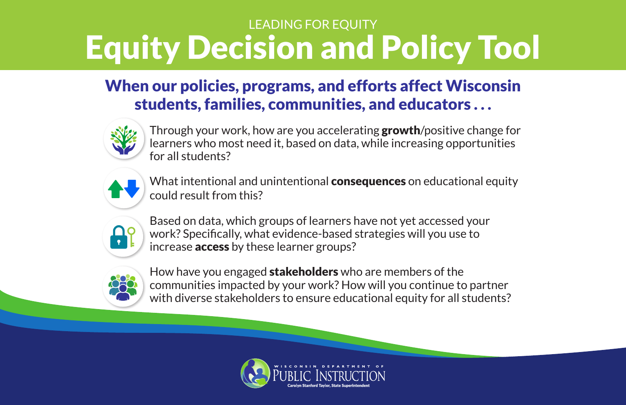### When our policies, programs, and efforts affect Wisconsin students, families, communities, and educators . . .



Through your work, how are you accelerating **growth**/positive change for learners who most need it, based on data, while increasing opportunities for all students?



What intentional and unintentional **consequences** on educational equity could result from this?

Based on data, which groups of learners have not yet accessed your work? Specifically, what evidence-based strategies will you use to increase **access** by these learner groups?





How have you engaged stakeholders who are members of the communities impacted by your work? How will you continue to partner with diverse stakeholders to ensure educational equity for all students?





## LEADING FOR EQUITY Equity Decision and Policy Tool